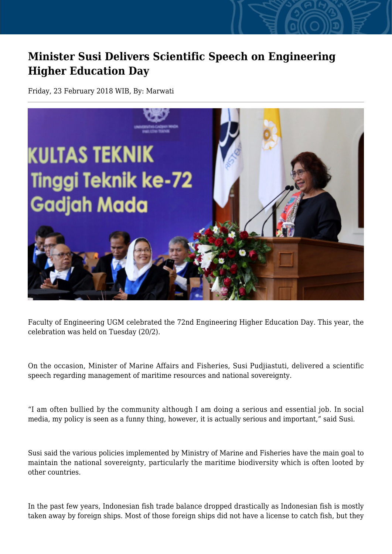## **Minister Susi Delivers Scientific Speech on Engineering Higher Education Day**

Friday, 23 February 2018 WIB, By: Marwati



Faculty of Engineering UGM celebrated the 72nd Engineering Higher Education Day. This year, the celebration was held on Tuesday (20/2).

On the occasion, Minister of Marine Affairs and Fisheries, Susi Pudjiastuti, delivered a scientific speech regarding management of maritime resources and national sovereignty.

"I am often bullied by the community although I am doing a serious and essential job. In social media, my policy is seen as a funny thing, however, it is actually serious and important," said Susi.

Susi said the various policies implemented by Ministry of Marine and Fisheries have the main goal to maintain the national sovereignty, particularly the maritime biodiversity which is often looted by other countries.

In the past few years, Indonesian fish trade balance dropped drastically as Indonesian fish is mostly taken away by foreign ships. Most of those foreign ships did not have a license to catch fish, but they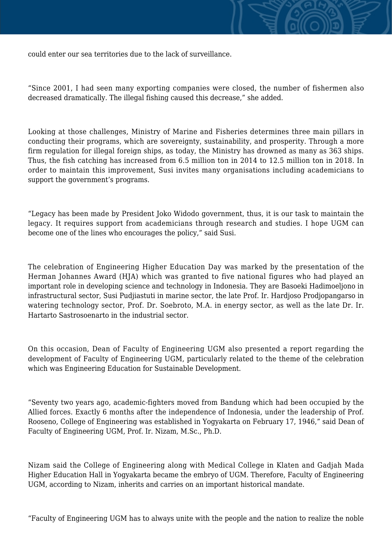could enter our sea territories due to the lack of surveillance.

"Since 2001, I had seen many exporting companies were closed, the number of fishermen also decreased dramatically. The illegal fishing caused this decrease," she added.

Looking at those challenges, Ministry of Marine and Fisheries determines three main pillars in conducting their programs, which are sovereignty, sustainability, and prosperity. Through a more firm regulation for illegal foreign ships, as today, the Ministry has drowned as many as 363 ships. Thus, the fish catching has increased from 6.5 million ton in 2014 to 12.5 million ton in 2018. In order to maintain this improvement, Susi invites many organisations including academicians to support the government's programs.

"Legacy has been made by President Joko Widodo government, thus, it is our task to maintain the legacy. It requires support from academicians through research and studies. I hope UGM can become one of the lines who encourages the policy," said Susi.

The celebration of Engineering Higher Education Day was marked by the presentation of the Herman Johannes Award (HJA) which was granted to five national figures who had played an important role in developing science and technology in Indonesia. They are Basoeki Hadimoeljono in infrastructural sector, Susi Pudjiastuti in marine sector, the late Prof. Ir. Hardjoso Prodjopangarso in watering technology sector, Prof. Dr. Soebroto, M.A. in energy sector, as well as the late Dr. Ir. Hartarto Sastrosoenarto in the industrial sector.

On this occasion, Dean of Faculty of Engineering UGM also presented a report regarding the development of Faculty of Engineering UGM, particularly related to the theme of the celebration which was Engineering Education for Sustainable Development.

"Seventy two years ago, academic-fighters moved from Bandung which had been occupied by the Allied forces. Exactly 6 months after the independence of Indonesia, under the leadership of Prof. Rooseno, College of Engineering was established in Yogyakarta on February 17, 1946," said Dean of Faculty of Engineering UGM, Prof. Ir. Nizam, M.Sc., Ph.D.

Nizam said the College of Engineering along with Medical College in Klaten and Gadjah Mada Higher Education Hall in Yogyakarta became the embryo of UGM. Therefore, Faculty of Engineering UGM, according to Nizam, inherits and carries on an important historical mandate.

"Faculty of Engineering UGM has to always unite with the people and the nation to realize the noble